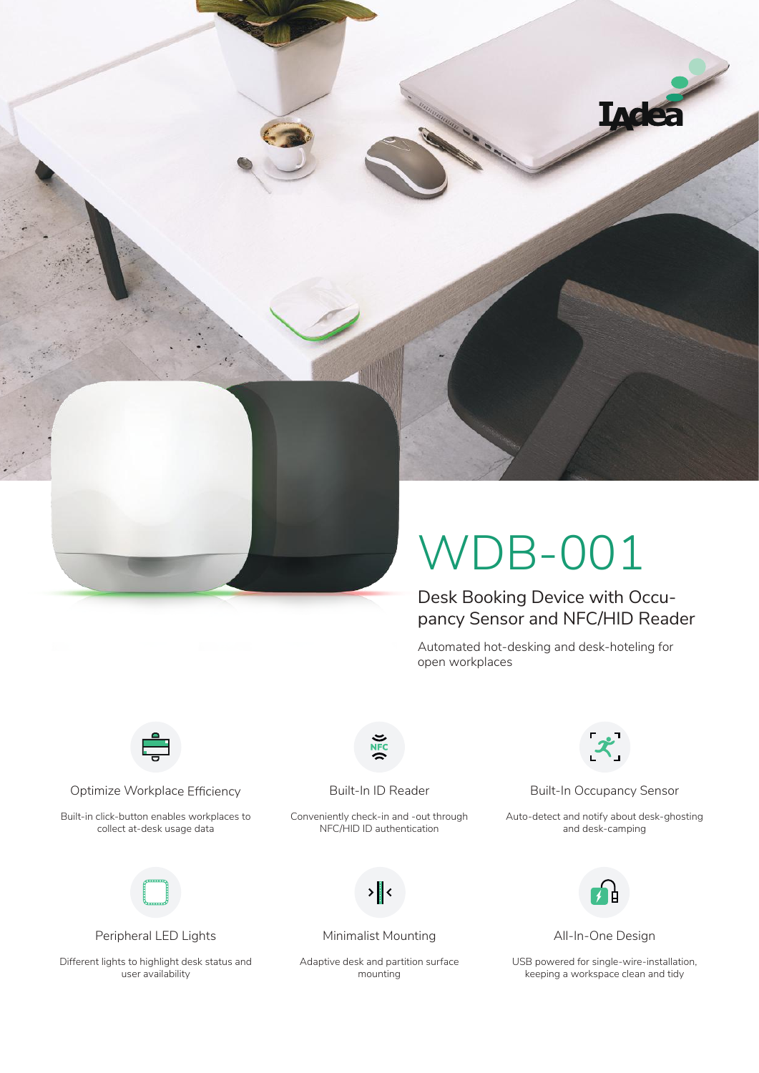

# WDB-001

Desk Booking Device with Occupancy Sensor and NFC/HID Reader

Automated hot-desking and desk-hoteling for open workplaces



Optimize Workplace Efficiency **Built-In ID Reader** Built-In Occupancy Sensor

Built-in click-button enables workplaces to collect at-desk usage data



Peripheral LED Lights Minimalist Mounting All-In-One Design

Different lights to highlight desk status and user availability

Conveniently check-in and -out through NFC/HID ID authentication



Adaptive desk and partition surface mounting



Auto-detect and notify about desk-ghosting and desk-camping



USB powered for single-wire-installation, keeping a workspace clean and tidy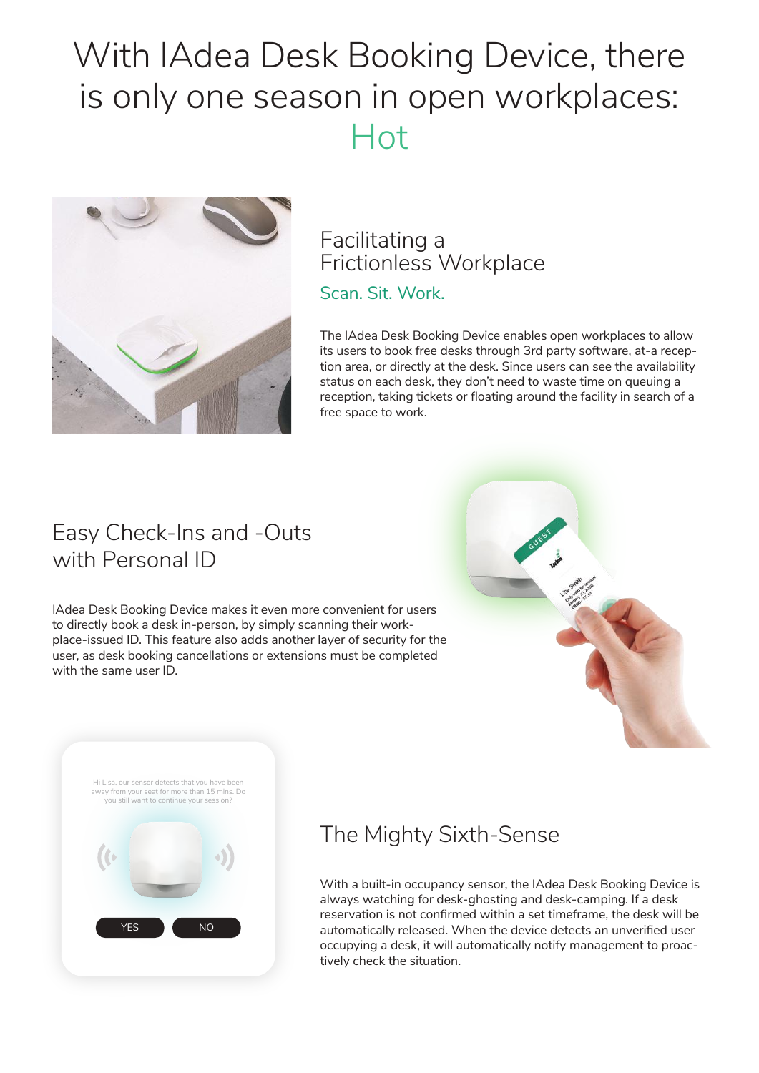# With IAdea Desk Booking Device, there is only one season in open workplaces: Hot



## Scan. Sit. Work. Facilitating a Frictionless Workplace

The IAdea Desk Booking Device enables open workplaces to allow its users to book free desks through 3rd party software, at-a reception area, or directly at the desk. Since users can see the availability status on each desk, they don't need to waste time on queuing a reception, taking tickets or floating around the facility in search of a free space to work.

## Easy Check-Ins and -Outs with Personal ID

IAdea Desk Booking Device makes it even more convenient for users to directly book a desk in-person, by simply scanning their workplace-issued ID. This feature also adds another layer of security for the user, as desk booking cancellations or extensions must be completed with the same user ID.



YES **NO** Hi Lisa, our sensor detects that you have been away from your seat for more than 15 mins. Do you still want to continue your session?

## The Mighty Sixth-Sense

With a built-in occupancy sensor, the IAdea Desk Booking Device is always watching for desk-ghosting and desk-camping. If a desk reservation is not confirmed within a set timeframe, the desk will be automatically released. When the device detects an unverified user occupying a desk, it will automatically notify management to proactively check the situation.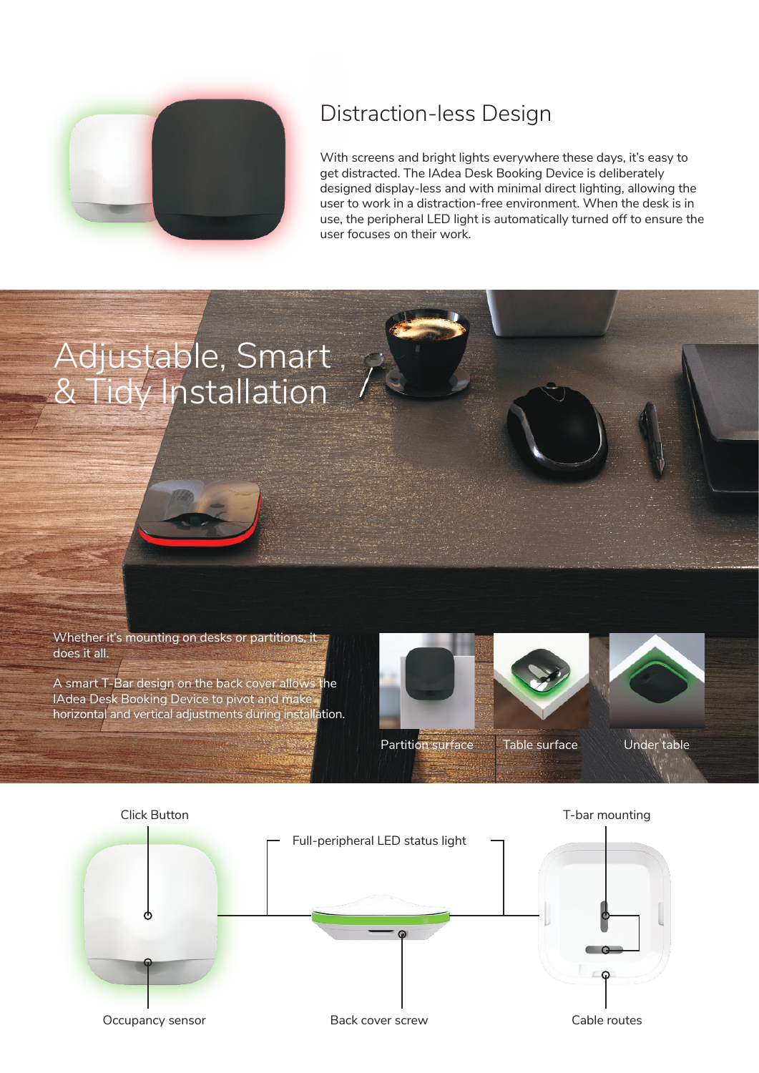

## Distraction-less Design

With screens and bright lights everywhere these days, it's easy to get distracted. The IAdea Desk Booking Device is deliberately designed display-less and with minimal direct lighting, allowing the user to work in a distraction-free environment. When the desk is in use, the peripheral LED light is automatically turned off to ensure the user focuses on their work.

# Adjustable, Smart & Tidy Installation

Whether it's mounting on desks or partitions, it does it all.

A smart T-Bar design on the back cover allows the IAdea Desk Booking Device to pivot and make horizontal and vertical adjustments during installation.



Partition surface Table surface Under table